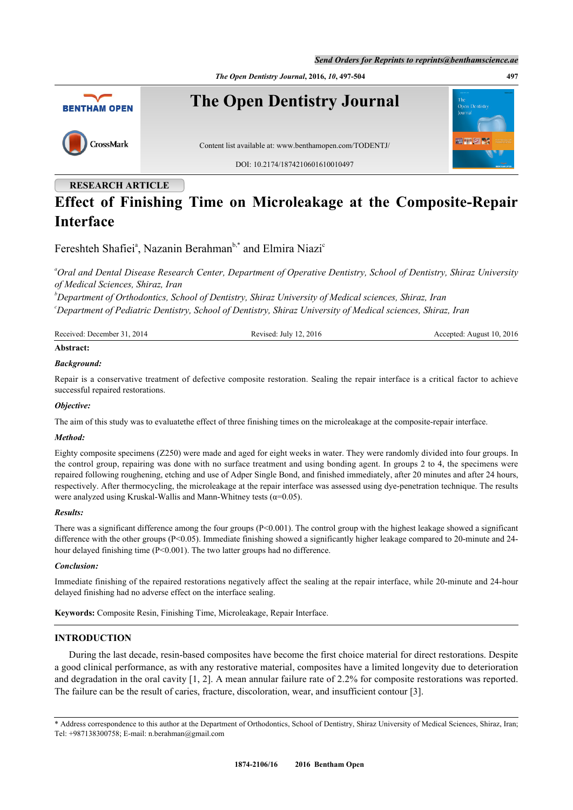*The Open Dentistry Journal***, 2016,** *10***, 497-504 497**



# **RESEARCH ARTICLE Effect of Finishing Time on Microleakage at the Composite-Repair Interface**

Fereshteh Sh[a](#page-0-0)fiei<sup>a</sup>, Nazanin Berahman<sup>[b,](#page-0-1)[\\*](#page-0-2)</sup> and Elmira Niazi<sup>[c](#page-0-3)</sup>

<span id="page-0-0"></span>*<sup>a</sup>Oral and Dental Disease Research Center, Department of Operative Dentistry, School of Dentistry, Shiraz University of Medical Sciences, Shiraz, Iran*

<span id="page-0-3"></span><span id="page-0-1"></span>*<sup>b</sup>Department of Orthodontics, School of Dentistry, Shiraz University of Medical sciences, Shiraz, Iran <sup>c</sup>Department of Pediatric Dentistry, School of Dentistry, Shiraz University of Medical sciences, Shiraz, Iran*

| Received: December 31, 2014           | Revised: July 12, 2016 | Accepted: August 10, 2016 |
|---------------------------------------|------------------------|---------------------------|
| $\blacktriangle$ To and a second con- |                        |                           |

## **Abstract:**

### *Background:*

Repair is a conservative treatment of defective composite restoration. Sealing the repair interface is a critical factor to achieve successful repaired restorations.

#### *Objective:*

The aim of this study was to evaluatethe effect of three finishing times on the microleakage at the composite-repair interface.

#### *Method:*

Eighty composite specimens (Z250) were made and aged for eight weeks in water. They were randomly divided into four groups. In the control group, repairing was done with no surface treatment and using bonding agent. In groups 2 to 4, the specimens were repaired following roughening, etching and use of Adper Single Bond, and finished immediately, after 20 minutes and after 24 hours, respectively. After thermocycling, the microleakage at the repair interface was assessed using dye-penetration technique. The results were analyzed using Kruskal-Wallis and Mann-Whitney tests ( $\alpha$ =0.05).

#### *Results:*

There was a significant difference among the four groups  $(P<0.001)$ . The control group with the highest leakage showed a significant difference with the other groups (P<0.05). Immediate finishing showed a significantly higher leakage compared to 20-minute and 24hour delayed finishing time (P<0.001). The two latter groups had no difference.

#### *Conclusion:*

Immediate finishing of the repaired restorations negatively affect the sealing at the repair interface, while 20-minute and 24-hour delayed finishing had no adverse effect on the interface sealing.

**Keywords:** Composite Resin, Finishing Time, Microleakage, Repair Interface.

#### **INTRODUCTION**

During the last decade, resin-based composites have become the first choice material for direct restorations. Despite a good clinical performance, as with any restorative material, composites have a limited longevity due to deterioration and degradation in the oral cavity [\[1](#page-5-0), [2\]](#page-5-1). A mean annular failure rate of 2.2% for composite restorations was reported. The failure can be the result of caries, fracture, discoloration, wear, and insufficient contour [\[3](#page-5-2)].

<span id="page-0-2"></span>\* Address correspondence to this author at the Department of Orthodontics, School of Dentistry, Shiraz University of Medical Sciences, Shiraz, Iran; Tel: +987138300758; E-mail: [n.berahman@gmail.com](mailto:n.berahman@gmail.com)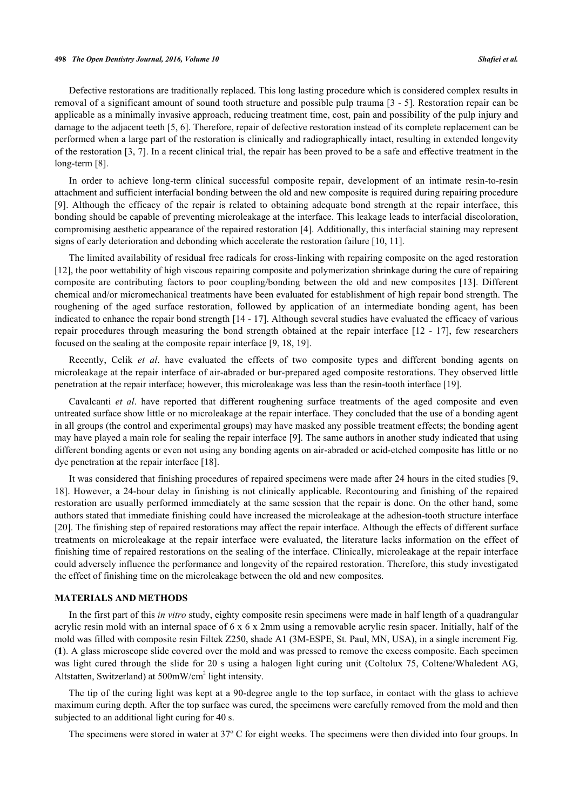#### **498** *The Open Dentistry Journal, 2016, Volume 10 Shafiei et al.*

Defective restorations are traditionally replaced. This long lasting procedure which is considered complex results in removal of a significant amount of sound tooth structure and possible pulp trauma [[3](#page-5-2) - [5](#page-5-3)]. Restoration repair can be applicable as a minimally invasive approach, reducing treatment time, cost, pain and possibility of the pulp injury and damage to the adjacent teeth [\[5](#page-5-3), [6](#page-5-4)]. Therefore, repair of defective restoration instead of its complete replacement can be performed when a large part of the restoration is clinically and radiographically intact, resulting in extended longevity of the restoration [[3](#page-5-2), [7](#page-5-5)]. In a recent clinical trial, the repair has been proved to be a safe and effective treatment in the long-term [[8\]](#page-5-6).

In order to achieve long-term clinical successful composite repair, development of an intimate resin-to-resin attachment and sufficient interfacial bonding between the old and new composite is required during repairing procedure [\[9](#page-6-0)]. Although the efficacy of the repair is related to obtaining adequate bond strength at the repair interface, this bonding should be capable of preventing microleakage at the interface. This leakage leads to interfacial discoloration, compromising aesthetic appearance of the repaired restoration [[4\]](#page-5-7). Additionally, this interfacial staining may represent signs of early deterioration and debonding which accelerate the restoration failure [[10,](#page-6-1) [11\]](#page-6-2).

The limited availability of residual free radicals for cross-linking with repairing composite on the aged restoration [\[12](#page-6-3)], the poor wettability of high viscous repairing composite and polymerization shrinkage during the cure of repairing composite are contributing factors to poor coupling/bonding between the old and new composites[[13](#page-6-4)]. Different chemical and/or micromechanical treatments have been evaluated for establishment of high repair bond strength. The roughening of the aged surface restoration, followed by application of an intermediate bonding agent, has been indicated to enhance the repair bond strength [[14](#page-6-5) - [17\]](#page-6-6). Although several studies have evaluated the efficacy of various repair procedures through measuring the bond strength obtained at the repair interface[[12](#page-6-3) - [17](#page-6-6)], few researchers focused on the sealing at the composite repair interface [\[9](#page-6-0), [18](#page-6-7), [19](#page-6-8)].

Recently, Celik *et al*. have evaluated the effects of two composite types and different bonding agents on microleakage at the repair interface of air-abraded or bur-prepared aged composite restorations. They observed little penetration at the repair interface; however, this microleakage was less than the resin-tooth interface [\[19](#page-6-8)].

Cavalcanti *et al*. have reported that different roughening surface treatments of the aged composite and even untreated surface show little or no microleakage at the repair interface. They concluded that the use of a bonding agent in all groups (the control and experimental groups) may have masked any possible treatment effects; the bonding agent may have played a main role for sealing the repair interface [[9](#page-6-0)]. The same authors in another study indicated that using different bonding agents or even not using any bonding agents on air-abraded or acid-etched composite has little or no dye penetration at the repair interface [\[18](#page-6-7)].

It was considered that finishing procedures of repaired specimens were made after 24 hours in the cited studies [[9](#page-6-0), [18\]](#page-6-7). However, a 24-hour delay in finishing is not clinically applicable. Recontouring and finishing of the repaired restoration are usually performed immediately at the same session that the repair is done. On the other hand, some authors stated that immediate finishing could have increased the microleakage at the adhesion-tooth structure interface [\[20](#page-6-9)]. The finishing step of repaired restorations may affect the repair interface. Although the effects of different surface treatments on microleakage at the repair interface were evaluated, the literature lacks information on the effect of finishing time of repaired restorations on the sealing of the interface. Clinically, microleakage at the repair interface could adversely influence the performance and longevity of the repaired restoration. Therefore, this study investigated the effect of finishing time on the microleakage between the old and new composites.

## **MATERIALS AND METHODS**

In the first part of this *in vitro* study, eighty composite resin specimens were made in half length of a quadrangular acrylic resin mold with an internal space of 6 x 6 x 2mm using a removable acrylic resin spacer. Initially, half of the mold was filled with composite resin Filtek Z250, shade A1 (3M-ESPE, St. Paul, MN, USA), in a single increment Fig. (**[1](#page-2-0)**). A glass microscope slide covered over the mold and was pressed to remove the excess composite. Each specimen was light cured through the slide for 20 s using a halogen light curing unit (Coltolux 75, Coltene/Whaledent AG, Altstatten, Switzerland) at  $500 \text{mW/cm}^2$  light intensity.

The tip of the curing light was kept at a 90-degree angle to the top surface, in contact with the glass to achieve maximum curing depth. After the top surface was cured, the specimens were carefully removed from the mold and then subjected to an additional light curing for 40 s.

The specimens were stored in water at 37º C for eight weeks. The specimens were then divided into four groups. In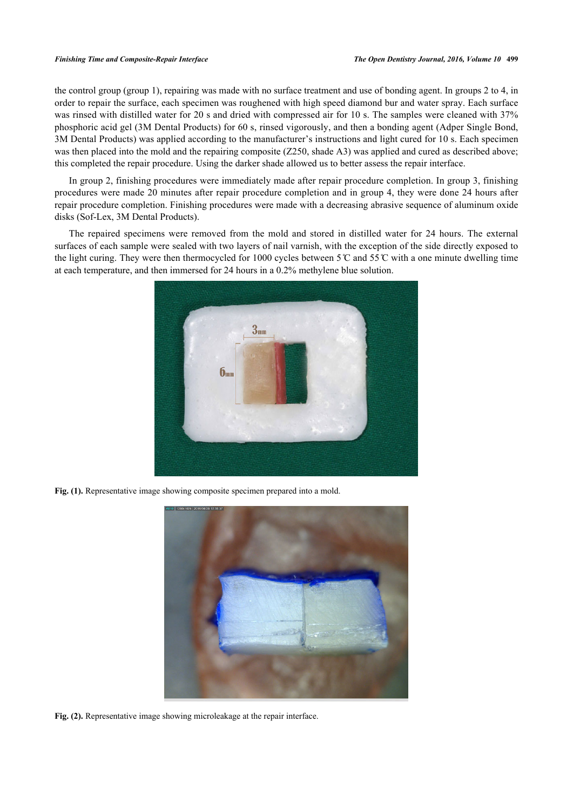the control group (group 1), repairing was made with no surface treatment and use of bonding agent. In groups 2 to 4, in order to repair the surface, each specimen was roughened with high speed diamond bur and water spray. Each surface was rinsed with distilled water for 20 s and dried with compressed air for 10 s. The samples were cleaned with 37% phosphoric acid gel (3M Dental Products) for 60 s, rinsed vigorously, and then a bonding agent (Adper Single Bond, 3M Dental Products) was applied according to the manufacturer's instructions and light cured for 10 s. Each specimen was then placed into the mold and the repairing composite (Z250, shade A3) was applied and cured as described above; this completed the repair procedure. Using the darker shade allowed us to better assess the repair interface.

In group 2, finishing procedures were immediately made after repair procedure completion. In group 3, finishing procedures were made 20 minutes after repair procedure completion and in group 4, they were done 24 hours after repair procedure completion. Finishing procedures were made with a decreasing abrasive sequence of aluminum oxide disks (Sof-Lex, 3M Dental Products).

The repaired specimens were removed from the mold and stored in distilled water for 24 hours. The external surfaces of each sample were sealed with two layers of nail varnish, with the exception of the side directly exposed to the light curing. They were then thermocycled for 1000 cycles between  $5^{\circ}$  and  $55^{\circ}$  with a one minute dwelling time at each temperature, and then immersed for 24 hours in a 0.2% methylene blue solution.

<span id="page-2-0"></span>

**Fig. (1).** Representative image showing composite specimen prepared into a mold.

<span id="page-2-2"></span><span id="page-2-1"></span>

**Fig. (2).** Representative image showing microleakage at the repair interface.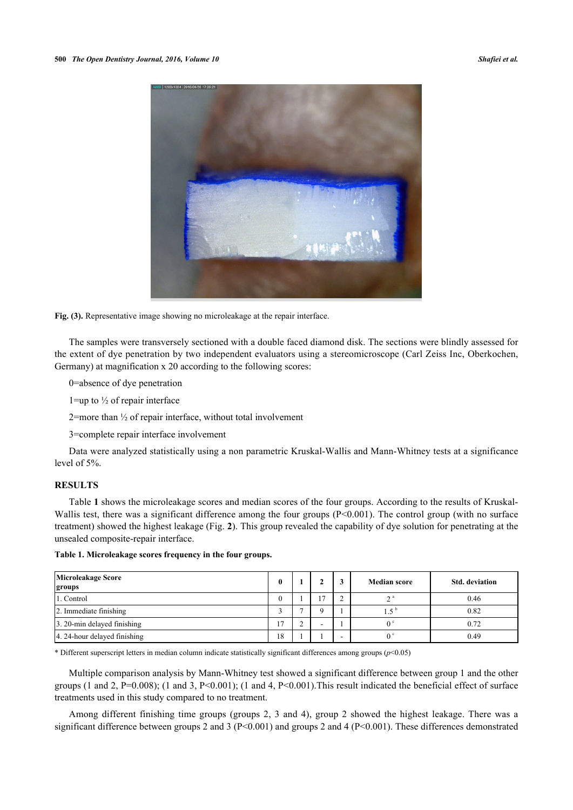

**Fig. (3).** Representative image showing no microleakage at the repair interface.

The samples were transversely sectioned with a double faced diamond disk. The sections were blindly assessed for the extent of dye penetration by two independent evaluators using a stereomicroscope (Carl Zeiss Inc, Oberkochen, Germany) at magnification x 20 according to the following scores:

0=absence of dye penetration

1=up to  $\frac{1}{2}$  of repair interface

2=more than ½ of repair interface, without total involvement

3=complete repair interface involvement

Data were analyzed statistically using a non parametric Kruskal-Wallis and Mann-Whitney tests at a significance level of 5%.

## **RESULTS**

Table **[1](#page-3-0)** shows the microleakage scores and median scores of the four groups. According to the results of Kruskal-Wallis test, there was a significant difference among the four groups (P<0.001). The control group (with no surface treatment) showed the highest leakage (Fig. **[2](#page-2-1)**). This group revealed the capability of dye solution for penetrating at the unsealed composite-repair interface.

<span id="page-3-0"></span>**Table 1. Microleakage scores frequency in the four groups.**

| Microleakage Score<br>groups | 0              |                | 3                        | <b>Median score</b> | <b>Std.</b> deviation |
|------------------------------|----------------|----------------|--------------------------|---------------------|-----------------------|
| 1. Control                   | 0              | $\overline{ }$ |                          | $2^{\circ}$         | 0.46                  |
| 2. Immediate finishing       |                |                |                          | $1.5^{\circ}$       | 0.82                  |
| 3. 20-min delayed finishing  | $\overline{ }$ |                |                          |                     | 0.72                  |
| 4. 24-hour delayed finishing | 18             |                | $\overline{\phantom{0}}$ | 0.                  | 0.49                  |

\* Different superscript letters in median column indicate statistically significant differences among groups  $(p<0.05)$ 

Multiple comparison analysis by Mann-Whitney test showed a significant difference between group 1 and the other groups (1 and 2, P=0.008); (1 and 3, P<0.001); (1 and 4, P<0.001). This result indicated the beneficial effect of surface treatments used in this study compared to no treatment.

Among different finishing time groups (groups 2, 3 and 4), group 2 showed the highest leakage. There was a significant difference between groups 2 and 3 (P<0.001) and groups 2 and 4 (P<0.001). These differences demonstrated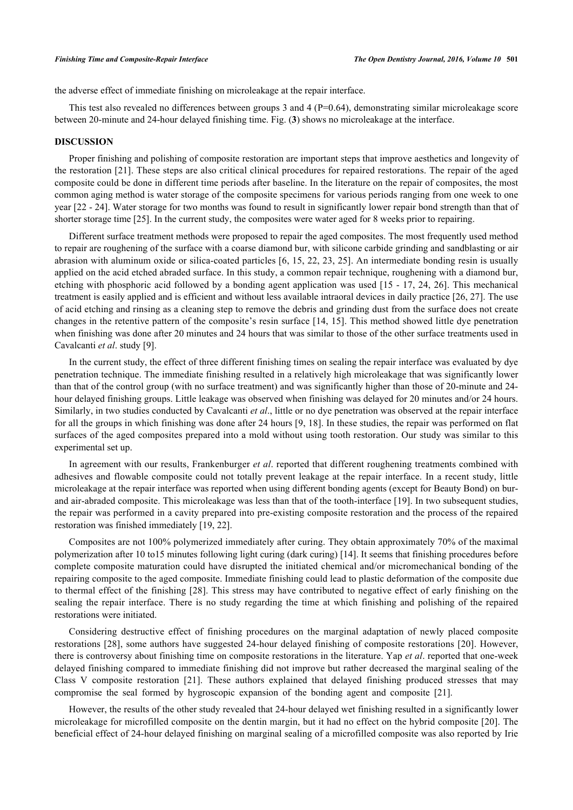the adverse effect of immediate finishing on microleakage at the repair interface.

This test also revealed no differences between groups 3 and 4 ( $P=0.64$ ), demonstrating similar microleakage score between 20-minute and 24-hour delayed finishing time. Fig. (**[3](#page-2-2)**) shows no microleakage at the interface.

## **DISCUSSION**

Proper finishing and polishing of composite restoration are important steps that improve aesthetics and longevity of the restoration [[21\]](#page-6-10). These steps are also critical clinical procedures for repaired restorations. The repair of the aged composite could be done in different time periods after baseline. In the literature on the repair of composites, the most common aging method is water storage of the composite specimens for various periods ranging from one week to one year [[22](#page-6-11) - [24\]](#page-6-12). Water storage for two months was found to result in significantly lower repair bond strength than that of shorter storage time [[25\]](#page-6-13). In the current study, the composites were water aged for 8 weeks prior to repairing.

Different surface treatment methods were proposed to repair the aged composites. The most frequently used method to repair are roughening of the surface with a coarse diamond bur, with silicone carbide grinding and sandblasting or air abrasion with aluminum oxide or silica-coated particles [[6](#page-5-4), [15,](#page-6-14) [22,](#page-6-11) [23,](#page-6-15) [25](#page-6-13)]. An intermediate bonding resin is usually applied on the acid etched abraded surface. In this study, a common repair technique, roughening with a diamond bur, etching with phosphoric acid followed by a bonding agent application was used [\[15](#page-6-14) - [17,](#page-6-6) [24](#page-6-12), [26](#page-6-16)]. This mechanical treatment is easily applied and is efficient and without less available intraoral devices in daily practice [[26,](#page-6-16) [27\]](#page-6-17). The use of acid etching and rinsing as a cleaning step to remove the debris and grinding dust from the surface does not create changes in the retentive pattern of the composite's resin surface [[14,](#page-6-5) [15\]](#page-6-14). This method showed little dye penetration when finishing was done after 20 minutes and 24 hours that was similar to those of the other surface treatments used in Cavalcanti *et al*. study [[9\]](#page-6-0).

In the current study, the effect of three different finishing times on sealing the repair interface was evaluated by dye penetration technique. The immediate finishing resulted in a relatively high microleakage that was significantly lower than that of the control group (with no surface treatment) and was significantly higher than those of 20-minute and 24 hour delayed finishing groups. Little leakage was observed when finishing was delayed for 20 minutes and/or 24 hours. Similarly, in two studies conducted by Cavalcanti *et al*., little or no dye penetration was observed at the repair interface for all the groups in which finishing was done after 24 hours [[9](#page-6-0), [18\]](#page-6-7). In these studies, the repair was performed on flat surfaces of the aged composites prepared into a mold without using tooth restoration. Our study was similar to this experimental set up.

In agreement with our results, Frankenburger *et al.* reported that different roughening treatments combined with adhesives and flowable composite could not totally prevent leakage at the repair interface. In a recent study, little microleakage at the repair interface was reported when using different bonding agents (except for Beauty Bond) on burand air-abraded composite. This microleakage was less than that of the tooth-interface [[19\]](#page-6-8). In two subsequent studies, the repair was performed in a cavity prepared into pre-existing composite restoration and the process of the repaired restoration was finished immediately [[19,](#page-6-8) [22\]](#page-6-11).

Composites are not 100% polymerized immediately after curing. They obtain approximately 70% of the maximal polymerization after 10 to15 minutes following light curing (dark curing) [[14\]](#page-6-5). It seems that finishing procedures before complete composite maturation could have disrupted the initiated chemical and/or micromechanical bonding of the repairing composite to the aged composite. Immediate finishing could lead to plastic deformation of the composite due to thermal effect of the finishing [\[28](#page-6-18)]. This stress may have contributed to negative effect of early finishing on the sealing the repair interface. There is no study regarding the time at which finishing and polishing of the repaired restorations were initiated.

Considering destructive effect of finishing procedures on the marginal adaptation of newly placed composite restorations [\[28\]](#page-6-18), some authors have suggested 24-hour delayed finishing of composite restorations [[20](#page-6-9)]. However, there is controversy about finishing time on composite restorations in the literature. Yap *et al*. reported that one-week delayed finishing compared to immediate finishing did not improve but rather decreased the marginal sealing of the Class V composite restoration[[21\]](#page-6-10). These authors explained that delayed finishing produced stresses that may compromise the seal formed by hygroscopic expansion of the bonding agent and composite[[21\]](#page-6-10).

However, the results of the other study revealed that 24-hour delayed wet finishing resulted in a significantly lower microleakage for microfilled composite on the dentin margin, but it had no effect on the hybrid composite [[20\]](#page-6-9). The beneficial effect of 24-hour delayed finishing on marginal sealing of a microfilled composite was also reported by Irie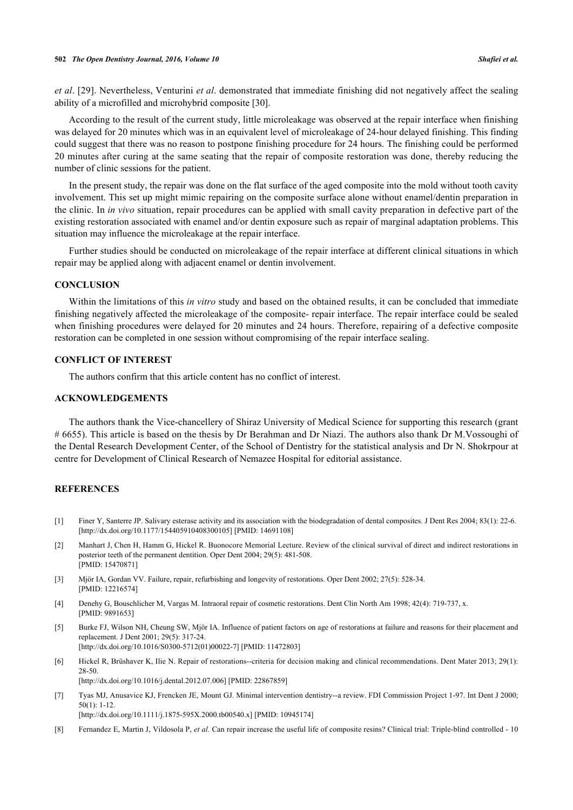*et al*. [\[29](#page-6-19)]. Nevertheless, Venturini *et al*. demonstrated that immediate finishing did not negatively affect the sealing ability of a microfilled and microhybrid composite [\[30](#page-7-0)].

According to the result of the current study, little microleakage was observed at the repair interface when finishing was delayed for 20 minutes which was in an equivalent level of microleakage of 24-hour delayed finishing. This finding could suggest that there was no reason to postpone finishing procedure for 24 hours. The finishing could be performed 20 minutes after curing at the same seating that the repair of composite restoration was done, thereby reducing the number of clinic sessions for the patient.

In the present study, the repair was done on the flat surface of the aged composite into the mold without tooth cavity involvement. This set up might mimic repairing on the composite surface alone without enamel/dentin preparation in the clinic. In *in vivo* situation, repair procedures can be applied with small cavity preparation in defective part of the existing restoration associated with enamel and/or dentin exposure such as repair of marginal adaptation problems. This situation may influence the microleakage at the repair interface.

Further studies should be conducted on microleakage of the repair interface at different clinical situations in which repair may be applied along with adjacent enamel or dentin involvement.

## **CONCLUSION**

Within the limitations of this *in vitro* study and based on the obtained results, it can be concluded that immediate finishing negatively affected the microleakage of the composite- repair interface. The repair interface could be sealed when finishing procedures were delayed for 20 minutes and 24 hours. Therefore, repairing of a defective composite restoration can be completed in one session without compromising of the repair interface sealing.

## **CONFLICT OF INTEREST**

The authors confirm that this article content has no conflict of interest.

## **ACKNOWLEDGEMENTS**

The authors thank the Vice-chancellery of Shiraz University of Medical Science for supporting this research (grant # 6655). This article is based on the thesis by Dr Berahman and Dr Niazi. The authors also thank Dr M.Vossoughi of the Dental Research Development Center, of the School of Dentistry for the statistical analysis and Dr N. Shokrpour at centre for Development of Clinical Research of Nemazee Hospital for editorial assistance.

## **REFERENCES**

- <span id="page-5-0"></span>[1] Finer Y, Santerre JP. Salivary esterase activity and its association with the biodegradation of dental composites. J Dent Res 2004; 83(1): 22-6. [\[http://dx.doi.org/10.1177/154405910408300105\]](http://dx.doi.org/10.1177/154405910408300105) [PMID: [14691108](http://www.ncbi.nlm.nih.gov/pubmed/14691108)]
- <span id="page-5-1"></span>[2] Manhart J, Chen H, Hamm G, Hickel R. Buonocore Memorial Lecture. Review of the clinical survival of direct and indirect restorations in posterior teeth of the permanent dentition. Oper Dent 2004; 29(5): 481-508. [PMID: [15470871\]](http://www.ncbi.nlm.nih.gov/pubmed/15470871)
- <span id="page-5-2"></span>[3] Mjör IA, Gordan VV. Failure, repair, refurbishing and longevity of restorations. Oper Dent 2002; 27(5): 528-34. [PMID: [12216574\]](http://www.ncbi.nlm.nih.gov/pubmed/12216574)
- <span id="page-5-7"></span>[4] Denehy G, Bouschlicher M, Vargas M. Intraoral repair of cosmetic restorations. Dent Clin North Am 1998; 42(4): 719-737, x. [PMID: [9891653\]](http://www.ncbi.nlm.nih.gov/pubmed/9891653)
- <span id="page-5-3"></span>[5] Burke FJ, Wilson NH, Cheung SW, Mjör IA. Influence of patient factors on age of restorations at failure and reasons for their placement and replacement. J Dent 2001; 29(5): 317-24. [\[http://dx.doi.org/10.1016/S0300-5712\(01\)00022-7\]](http://dx.doi.org/10.1016/S0300-5712(01)00022-7) [PMID: [11472803](http://www.ncbi.nlm.nih.gov/pubmed/11472803)]
- <span id="page-5-4"></span>[6] Hickel R, Brüshaver K, Ilie N. Repair of restorations--criteria for decision making and clinical recommendations. Dent Mater 2013; 29(1): 28-50. [\[http://dx.doi.org/10.1016/j.dental.2012.07.006\]](http://dx.doi.org/10.1016/j.dental.2012.07.006) [PMID: [22867859](http://www.ncbi.nlm.nih.gov/pubmed/22867859)]
- <span id="page-5-5"></span>[7] Tyas MJ, Anusavice KJ, Frencken JE, Mount GJ. Minimal intervention dentistry--a review. FDI Commission Project 1-97. Int Dent J 2000;  $50(1)$ : 1-12.
	- [\[http://dx.doi.org/10.1111/j.1875-595X.2000.tb00540.x\]](http://dx.doi.org/10.1111/j.1875-595X.2000.tb00540.x) [PMID: [10945174](http://www.ncbi.nlm.nih.gov/pubmed/10945174)]
- <span id="page-5-6"></span>[8] Fernandez E, Martin J, Vildosola P, *et al.* Can repair increase the useful life of composite resins? Clinical trial: Triple-blind controlled - 10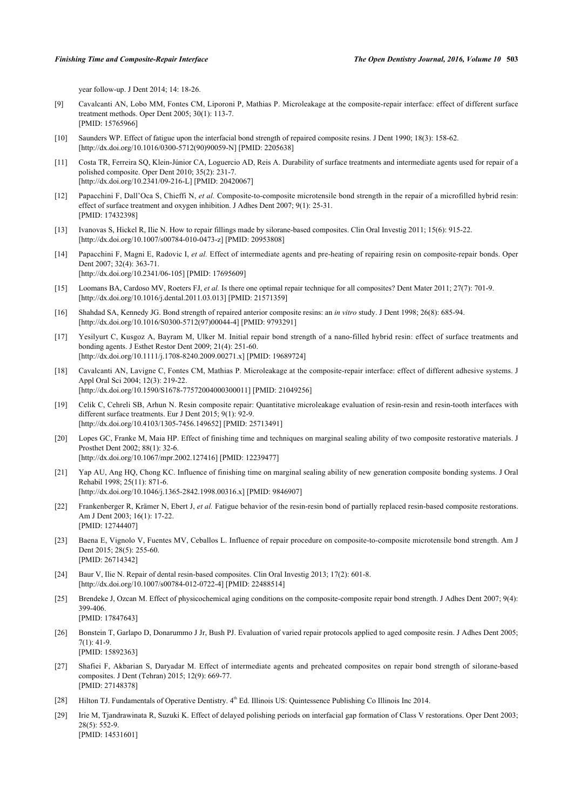year follow-up. J Dent 2014; 14: 18-26.

- <span id="page-6-0"></span>[9] Cavalcanti AN, Lobo MM, Fontes CM, Liporoni P, Mathias P. Microleakage at the composite-repair interface: effect of different surface treatment methods. Oper Dent 2005; 30(1): 113-7. [PMID: [15765966\]](http://www.ncbi.nlm.nih.gov/pubmed/15765966)
- <span id="page-6-1"></span>[10] Saunders WP. Effect of fatigue upon the interfacial bond strength of repaired composite resins. J Dent 1990; 18(3): 158-62. [\[http://dx.doi.org/10.1016/0300-5712\(90\)90059-N](http://dx.doi.org/10.1016/0300-5712(90)90059-N)] [PMID: [2205638\]](http://www.ncbi.nlm.nih.gov/pubmed/2205638)
- <span id="page-6-2"></span>[11] Costa TR, Ferreira SQ, Klein-Júnior CA, Loguercio AD, Reis A. Durability of surface treatments and intermediate agents used for repair of a polished composite. Oper Dent 2010; 35(2): 231-7. [\[http://dx.doi.org/10.2341/09-216-L](http://dx.doi.org/10.2341/09-216-L)] [PMID: [20420067\]](http://www.ncbi.nlm.nih.gov/pubmed/20420067)
- <span id="page-6-3"></span>[12] Papacchini F, Dall'Oca S, Chieffi N, *et al.* Composite-to-composite microtensile bond strength in the repair of a microfilled hybrid resin: effect of surface treatment and oxygen inhibition. J Adhes Dent 2007; 9(1): 25-31. [PMID: [17432398\]](http://www.ncbi.nlm.nih.gov/pubmed/17432398)
- <span id="page-6-4"></span>[13] Ivanovas S, Hickel R, Ilie N. How to repair fillings made by silorane-based composites. Clin Oral Investig 2011; 15(6): 915-22. [\[http://dx.doi.org/10.1007/s00784-010-0473-z](http://dx.doi.org/10.1007/s00784-010-0473-z)] [PMID: [20953808](http://www.ncbi.nlm.nih.gov/pubmed/20953808)]
- <span id="page-6-5"></span>[14] Papacchini F, Magni E, Radovic I, *et al.* Effect of intermediate agents and pre-heating of repairing resin on composite-repair bonds. Oper Dent 2007; 32(4): 363-71. [\[http://dx.doi.org/10.2341/06-105](http://dx.doi.org/10.2341/06-105)] [PMID: [17695609](http://www.ncbi.nlm.nih.gov/pubmed/17695609)]
- <span id="page-6-14"></span>[15] Loomans BA, Cardoso MV, Roeters FJ, *et al.* Is there one optimal repair technique for all composites? Dent Mater 2011; 27(7): 701-9. [\[http://dx.doi.org/10.1016/j.dental.2011.03.013\]](http://dx.doi.org/10.1016/j.dental.2011.03.013) [PMID: [21571359](http://www.ncbi.nlm.nih.gov/pubmed/21571359)]
- [16] Shahdad SA, Kennedy JG. Bond strength of repaired anterior composite resins: an *in vitro* study. J Dent 1998; 26(8): 685-94. [\[http://dx.doi.org/10.1016/S0300-5712\(97\)00044-4\]](http://dx.doi.org/10.1016/S0300-5712(97)00044-4) [PMID: [9793291](http://www.ncbi.nlm.nih.gov/pubmed/9793291)]
- <span id="page-6-6"></span>[17] Yesilyurt C, Kusgoz A, Bayram M, Ulker M. Initial repair bond strength of a nano-filled hybrid resin: effect of surface treatments and bonding agents. J Esthet Restor Dent 2009; 21(4): 251-60. [\[http://dx.doi.org/10.1111/j.1708-8240.2009.00271.x\]](http://dx.doi.org/10.1111/j.1708-8240.2009.00271.x) [PMID: [19689724](http://www.ncbi.nlm.nih.gov/pubmed/19689724)]
- <span id="page-6-7"></span>[18] Cavalcanti AN, Lavigne C, Fontes CM, Mathias P. Microleakage at the composite-repair interface: effect of different adhesive systems. J Appl Oral Sci 2004; 12(3): 219-22. [\[http://dx.doi.org/10.1590/S1678-77572004000300011\]](http://dx.doi.org/10.1590/S1678-77572004000300011) [PMID: [21049256](http://www.ncbi.nlm.nih.gov/pubmed/21049256)]
- <span id="page-6-8"></span>[19] Celik C, Cehreli SB, Arhun N. Resin composite repair: Quantitative microleakage evaluation of resin-resin and resin-tooth interfaces with different surface treatments. Eur J Dent 2015; 9(1): 92-9. [\[http://dx.doi.org/10.4103/1305-7456.149652](http://dx.doi.org/10.4103/1305-7456.149652)] [PMID: [25713491](http://www.ncbi.nlm.nih.gov/pubmed/25713491)]
- <span id="page-6-9"></span>[20] Lopes GC, Franke M, Maia HP. Effect of finishing time and techniques on marginal sealing ability of two composite restorative materials. J Prosthet Dent 2002; 88(1): 32-6. [\[http://dx.doi.org/10.1067/mpr.2002.127416\]](http://dx.doi.org/10.1067/mpr.2002.127416) [PMID: [12239477](http://www.ncbi.nlm.nih.gov/pubmed/12239477)]
- <span id="page-6-10"></span>[21] Yap AU, Ang HQ, Chong KC. Influence of finishing time on marginal sealing ability of new generation composite bonding systems. J Oral Rehabil 1998; 25(11): 871-6. [\[http://dx.doi.org/10.1046/j.1365-2842.1998.00316.x\]](http://dx.doi.org/10.1046/j.1365-2842.1998.00316.x) [PMID: [9846907](http://www.ncbi.nlm.nih.gov/pubmed/9846907)]
- <span id="page-6-11"></span>[22] Frankenberger R, Krämer N, Ebert J, *et al.* Fatigue behavior of the resin-resin bond of partially replaced resin-based composite restorations. Am J Dent 2003; 16(1): 17-22. [PMID: [12744407\]](http://www.ncbi.nlm.nih.gov/pubmed/12744407)
- <span id="page-6-15"></span>[23] Baena E, Vignolo V, Fuentes MV, Ceballos L. Influence of repair procedure on composite-to-composite microtensile bond strength. Am J Dent 2015; 28(5): 255-60. [PMID: [26714342\]](http://www.ncbi.nlm.nih.gov/pubmed/26714342)
- <span id="page-6-12"></span>[24] Baur V, Ilie N. Repair of dental resin-based composites. Clin Oral Investig 2013; 17(2): 601-8. [\[http://dx.doi.org/10.1007/s00784-012-0722-4\]](http://dx.doi.org/10.1007/s00784-012-0722-4) [PMID: [22488514](http://www.ncbi.nlm.nih.gov/pubmed/22488514)]
- <span id="page-6-13"></span>[25] Brendeke J, Ozcan M. Effect of physicochemical aging conditions on the composite-composite repair bond strength. J Adhes Dent 2007; 9(4): 399-406. [PMID: [17847643\]](http://www.ncbi.nlm.nih.gov/pubmed/17847643)
- <span id="page-6-16"></span>[26] Bonstein T, Garlapo D, Donarummo J Jr, Bush PJ. Evaluation of varied repair protocols applied to aged composite resin. J Adhes Dent 2005;  $7(1): 41-9$

[PMID: [27148378\]](http://www.ncbi.nlm.nih.gov/pubmed/27148378)

- <span id="page-6-17"></span>[PMID: [15892363\]](http://www.ncbi.nlm.nih.gov/pubmed/15892363) [27] Shafiei F, Akbarian S, Daryadar M. Effect of intermediate agents and preheated composites on repair bond strength of silorane-based composites. J Dent (Tehran) 2015; 12(9): 669-77.
- <span id="page-6-18"></span>[28] Hilton TJ. Fundamentals of Operative Dentistry. 4<sup>th</sup> Ed. Illinois US: Quintessence Publishing Co Illinois Inc 2014.
- <span id="page-6-19"></span>[29] Irie M, Tjandrawinata R, Suzuki K. Effect of delayed polishing periods on interfacial gap formation of Class V restorations. Oper Dent 2003; 28(5): 552-9. [PMID: [14531601\]](http://www.ncbi.nlm.nih.gov/pubmed/14531601)